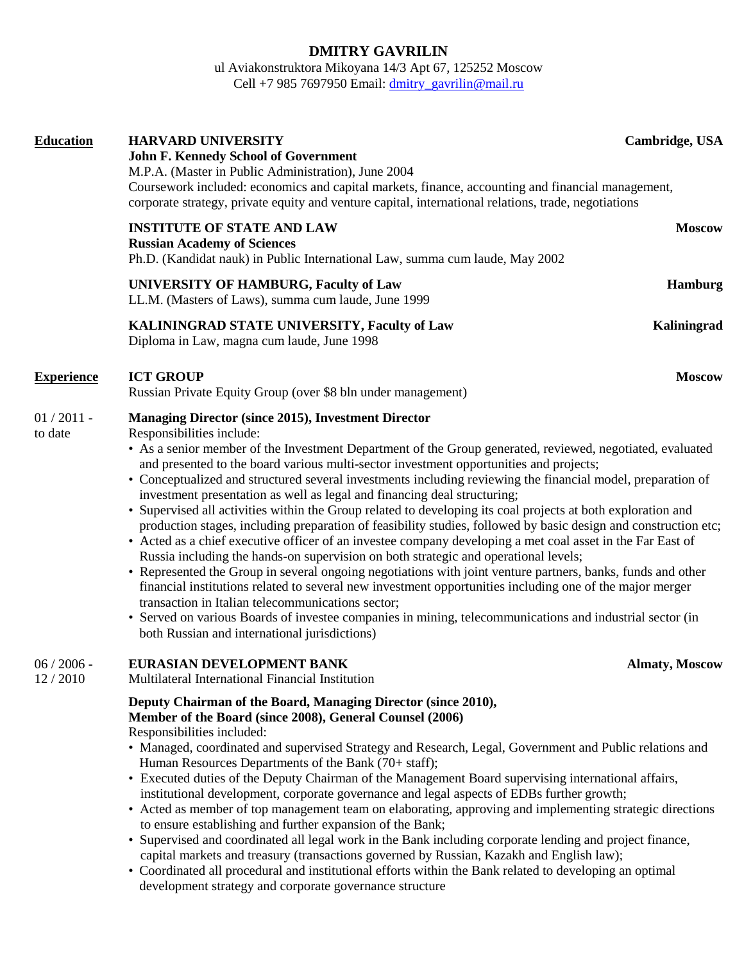# **DMITRY GAVRILIN**

ul Aviakonstruktora Mikoyana 14/3 Apt 67, 125252 Moscow Cell +7 985 7697950 Email:  $\frac{d$ mitry\_gavrilin@mail.ru

| <b>Education</b>         | <b>HARVARD UNIVERSITY</b><br>Cambridge, USA<br><b>John F. Kennedy School of Government</b><br>M.P.A. (Master in Public Administration), June 2004<br>Coursework included: economics and capital markets, finance, accounting and financial management,<br>corporate strategy, private equity and venture capital, international relations, trade, negotiations                                                                                                                                                                                                                                                                                                                                                                                                                                                                                                                                                                                                                                                                                                                                                                                                                                                                                                                                                                                                                 |                       |
|--------------------------|--------------------------------------------------------------------------------------------------------------------------------------------------------------------------------------------------------------------------------------------------------------------------------------------------------------------------------------------------------------------------------------------------------------------------------------------------------------------------------------------------------------------------------------------------------------------------------------------------------------------------------------------------------------------------------------------------------------------------------------------------------------------------------------------------------------------------------------------------------------------------------------------------------------------------------------------------------------------------------------------------------------------------------------------------------------------------------------------------------------------------------------------------------------------------------------------------------------------------------------------------------------------------------------------------------------------------------------------------------------------------------|-----------------------|
|                          | <b>INSTITUTE OF STATE AND LAW</b><br><b>Russian Academy of Sciences</b><br>Ph.D. (Kandidat nauk) in Public International Law, summa cum laude, May 2002                                                                                                                                                                                                                                                                                                                                                                                                                                                                                                                                                                                                                                                                                                                                                                                                                                                                                                                                                                                                                                                                                                                                                                                                                        | <b>Moscow</b>         |
|                          | <b>UNIVERSITY OF HAMBURG, Faculty of Law</b><br>LL.M. (Masters of Laws), summa cum laude, June 1999                                                                                                                                                                                                                                                                                                                                                                                                                                                                                                                                                                                                                                                                                                                                                                                                                                                                                                                                                                                                                                                                                                                                                                                                                                                                            | Hamburg               |
|                          | KALININGRAD STATE UNIVERSITY, Faculty of Law<br>Diploma in Law, magna cum laude, June 1998                                                                                                                                                                                                                                                                                                                                                                                                                                                                                                                                                                                                                                                                                                                                                                                                                                                                                                                                                                                                                                                                                                                                                                                                                                                                                     | Kaliningrad           |
| <b>Experience</b>        | <b>ICT GROUP</b><br>Russian Private Equity Group (over \$8 bln under management)                                                                                                                                                                                                                                                                                                                                                                                                                                                                                                                                                                                                                                                                                                                                                                                                                                                                                                                                                                                                                                                                                                                                                                                                                                                                                               | <b>Moscow</b>         |
| $01 / 2011$ -<br>to date | <b>Managing Director (since 2015), Investment Director</b><br>Responsibilities include:<br>• As a senior member of the Investment Department of the Group generated, reviewed, negotiated, evaluated<br>and presented to the board various multi-sector investment opportunities and projects;<br>• Conceptualized and structured several investments including reviewing the financial model, preparation of<br>investment presentation as well as legal and financing deal structuring;<br>• Supervised all activities within the Group related to developing its coal projects at both exploration and<br>production stages, including preparation of feasibility studies, followed by basic design and construction etc;<br>• Acted as a chief executive officer of an investee company developing a met coal asset in the Far East of<br>Russia including the hands-on supervision on both strategic and operational levels;<br>• Represented the Group in several ongoing negotiations with joint venture partners, banks, funds and other<br>financial institutions related to several new investment opportunities including one of the major merger<br>transaction in Italian telecommunications sector;<br>• Served on various Boards of investee companies in mining, telecommunications and industrial sector (in<br>both Russian and international jurisdictions) |                       |
| $06/2006$ -<br>12/2010   | EURASIAN DEVELOPMENT BANK<br>Multilateral International Financial Institution                                                                                                                                                                                                                                                                                                                                                                                                                                                                                                                                                                                                                                                                                                                                                                                                                                                                                                                                                                                                                                                                                                                                                                                                                                                                                                  | <b>Almaty, Moscow</b> |
|                          | Deputy Chairman of the Board, Managing Director (since 2010),<br>Member of the Board (since 2008), General Counsel (2006)<br>Responsibilities included:<br>• Managed, coordinated and supervised Strategy and Research, Legal, Government and Public relations and<br>Human Resources Departments of the Bank (70+ staff);<br>• Executed duties of the Deputy Chairman of the Management Board supervising international affairs,<br>institutional development, corporate governance and legal aspects of EDBs further growth;<br>• Acted as member of top management team on elaborating, approving and implementing strategic directions<br>to ensure establishing and further expansion of the Bank;<br>• Supervised and coordinated all legal work in the Bank including corporate lending and project finance,<br>capital markets and treasury (transactions governed by Russian, Kazakh and English law);<br>• Coordinated all procedural and institutional efforts within the Bank related to developing an optimal<br>development strategy and corporate governance structure                                                                                                                                                                                                                                                                                          |                       |